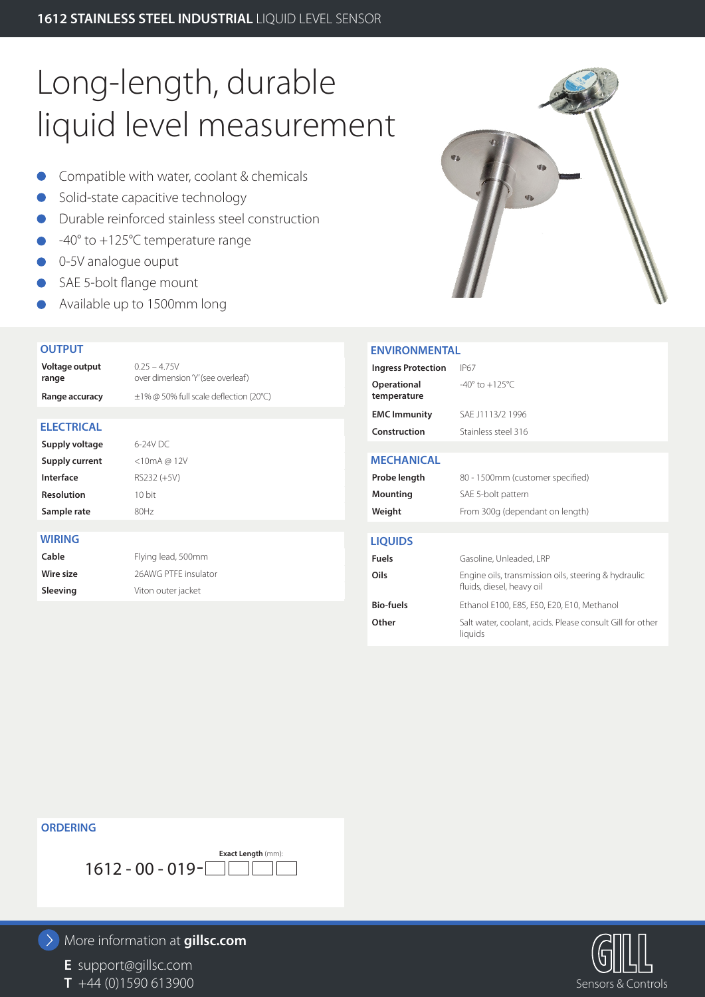# Long-length, durable liquid level measurement

- **Compatible with water, coolant & chemicals**
- Solid-state capacitive technology
- Durable reinforced stainless steel construction
- -40° to +125°C temperature range
- 0-5V analogue ouput
- SAE 5-bolt flange mount
- Available up to 1500mm long

#### **OUTPUT**

**Voltage output range**  $0.25 - 4.75V$ over dimension 'Y' (see overleaf) **Range accuracy** ±1% @ 50% full scale deflection (20°C) **ELECTRICAL Supply voltage** 6-24V DC **Supply current** <10mA @ 12V **Interface** RS232 (+5V) **Resolution** 10 bit **Sample rate** 80Hz **WIRING Cable** Flying lead, 500mm **Wire size** 26AWG PTFE insulator **Sleeving Viton outer jacket** 



#### **ENVIRONMENTAL**

| LIVVIINUININLIVIAL         |                                                                                   |  |
|----------------------------|-----------------------------------------------------------------------------------|--|
| <b>Ingress Protection</b>  | IP67                                                                              |  |
| Operational<br>temperature | $-40^{\circ}$ to $+125^{\circ}$ C                                                 |  |
| <b>EMC Immunity</b>        | SAF J1113/2 1996                                                                  |  |
| Construction               | Stainless steel 316                                                               |  |
|                            |                                                                                   |  |
| <b>MECHANICAL</b>          |                                                                                   |  |
| Probe length               | 80 - 1500mm (customer specified)                                                  |  |
| Mounting                   | SAE 5-bolt pattern                                                                |  |
| Weight                     | From 300g (dependant on length)                                                   |  |
|                            |                                                                                   |  |
| <b>LIQUIDS</b>             |                                                                                   |  |
| <b>Fuels</b>               | Gasoline, Unleaded, LRP                                                           |  |
| Oils                       | Engine oils, transmission oils, steering & hydraulic<br>fluids, diesel, heavy oil |  |
| <b>Bio-fuels</b>           | Ethanol E100, E85, E50, E20, E10, Methanol                                        |  |
| Other                      | Salt water, coolant, acids. Please consult Gill for other<br>liquids              |  |

#### **ORDERING**



### More information at **gillsc.com**

**E** support@gillsc.com